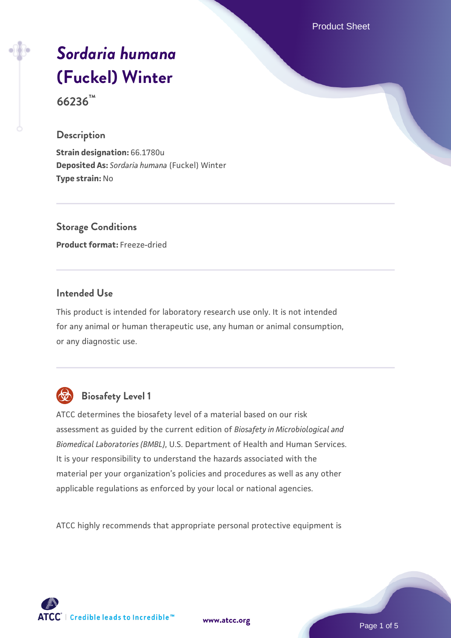Product Sheet

# *[Sordaria humana](https://www.atcc.org/products/66236)* **[\(Fuckel\) Winter](https://www.atcc.org/products/66236)**

**66236™**

#### **Description**

**Strain designation:** 66.1780u **Deposited As:** *Sordaria humana* (Fuckel) Winter **Type strain:** No

**Storage Conditions Product format:** Freeze-dried

# **Intended Use**

This product is intended for laboratory research use only. It is not intended for any animal or human therapeutic use, any human or animal consumption, or any diagnostic use.



# **Biosafety Level 1**

ATCC determines the biosafety level of a material based on our risk assessment as guided by the current edition of *Biosafety in Microbiological and Biomedical Laboratories (BMBL)*, U.S. Department of Health and Human Services. It is your responsibility to understand the hazards associated with the material per your organization's policies and procedures as well as any other applicable regulations as enforced by your local or national agencies.

ATCC highly recommends that appropriate personal protective equipment is

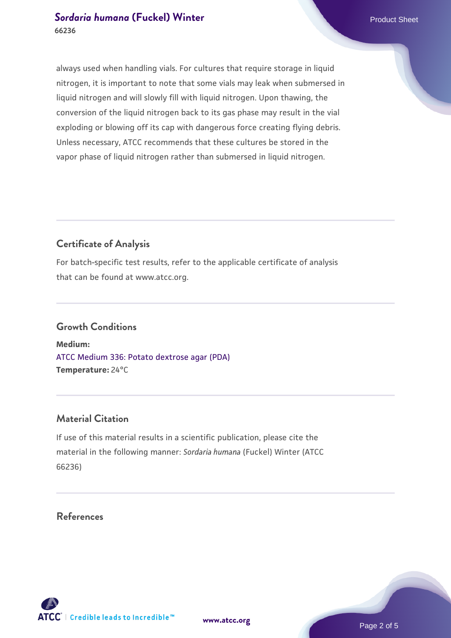always used when handling vials. For cultures that require storage in liquid nitrogen, it is important to note that some vials may leak when submersed in liquid nitrogen and will slowly fill with liquid nitrogen. Upon thawing, the conversion of the liquid nitrogen back to its gas phase may result in the vial exploding or blowing off its cap with dangerous force creating flying debris. Unless necessary, ATCC recommends that these cultures be stored in the vapor phase of liquid nitrogen rather than submersed in liquid nitrogen.

# **Certificate of Analysis**

For batch-specific test results, refer to the applicable certificate of analysis that can be found at www.atcc.org.

#### **Growth Conditions**

**Medium:**  [ATCC Medium 336: Potato dextrose agar \(PDA\)](https://www.atcc.org/-/media/product-assets/documents/microbial-media-formulations/3/3/6/atcc-medium-336.pdf?rev=d9160ad44d934cd8b65175461abbf3b9) **Temperature:** 24°C

# **Material Citation**

If use of this material results in a scientific publication, please cite the material in the following manner: *Sordaria humana* (Fuckel) Winter (ATCC 66236)

#### **References**

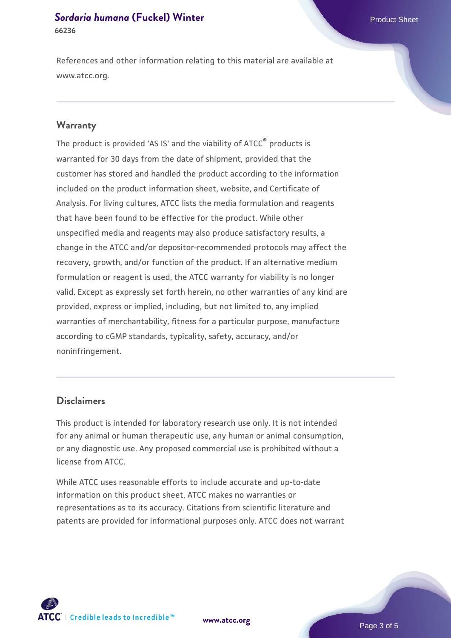References and other information relating to this material are available at www.atcc.org.

#### **Warranty**

The product is provided 'AS IS' and the viability of ATCC® products is warranted for 30 days from the date of shipment, provided that the customer has stored and handled the product according to the information included on the product information sheet, website, and Certificate of Analysis. For living cultures, ATCC lists the media formulation and reagents that have been found to be effective for the product. While other unspecified media and reagents may also produce satisfactory results, a change in the ATCC and/or depositor-recommended protocols may affect the recovery, growth, and/or function of the product. If an alternative medium formulation or reagent is used, the ATCC warranty for viability is no longer valid. Except as expressly set forth herein, no other warranties of any kind are provided, express or implied, including, but not limited to, any implied warranties of merchantability, fitness for a particular purpose, manufacture according to cGMP standards, typicality, safety, accuracy, and/or noninfringement.

#### **Disclaimers**

This product is intended for laboratory research use only. It is not intended for any animal or human therapeutic use, any human or animal consumption, or any diagnostic use. Any proposed commercial use is prohibited without a license from ATCC.

While ATCC uses reasonable efforts to include accurate and up-to-date information on this product sheet, ATCC makes no warranties or representations as to its accuracy. Citations from scientific literature and patents are provided for informational purposes only. ATCC does not warrant

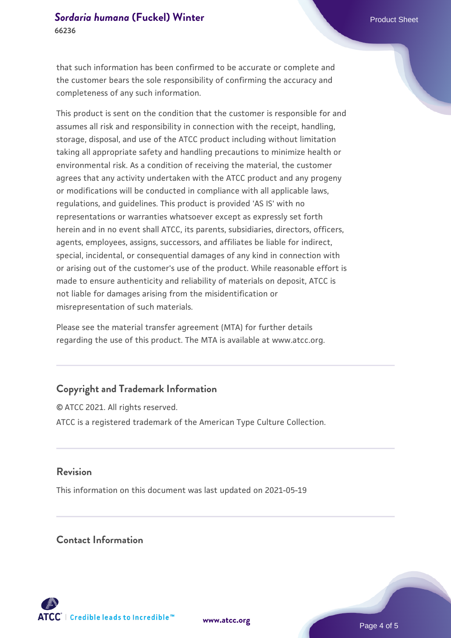that such information has been confirmed to be accurate or complete and the customer bears the sole responsibility of confirming the accuracy and completeness of any such information.

This product is sent on the condition that the customer is responsible for and assumes all risk and responsibility in connection with the receipt, handling, storage, disposal, and use of the ATCC product including without limitation taking all appropriate safety and handling precautions to minimize health or environmental risk. As a condition of receiving the material, the customer agrees that any activity undertaken with the ATCC product and any progeny or modifications will be conducted in compliance with all applicable laws, regulations, and guidelines. This product is provided 'AS IS' with no representations or warranties whatsoever except as expressly set forth herein and in no event shall ATCC, its parents, subsidiaries, directors, officers, agents, employees, assigns, successors, and affiliates be liable for indirect, special, incidental, or consequential damages of any kind in connection with or arising out of the customer's use of the product. While reasonable effort is made to ensure authenticity and reliability of materials on deposit, ATCC is not liable for damages arising from the misidentification or misrepresentation of such materials.

Please see the material transfer agreement (MTA) for further details regarding the use of this product. The MTA is available at www.atcc.org.

# **Copyright and Trademark Information**

© ATCC 2021. All rights reserved. ATCC is a registered trademark of the American Type Culture Collection.

#### **Revision**

This information on this document was last updated on 2021-05-19

#### **Contact Information**



**[www.atcc.org](http://www.atcc.org)**